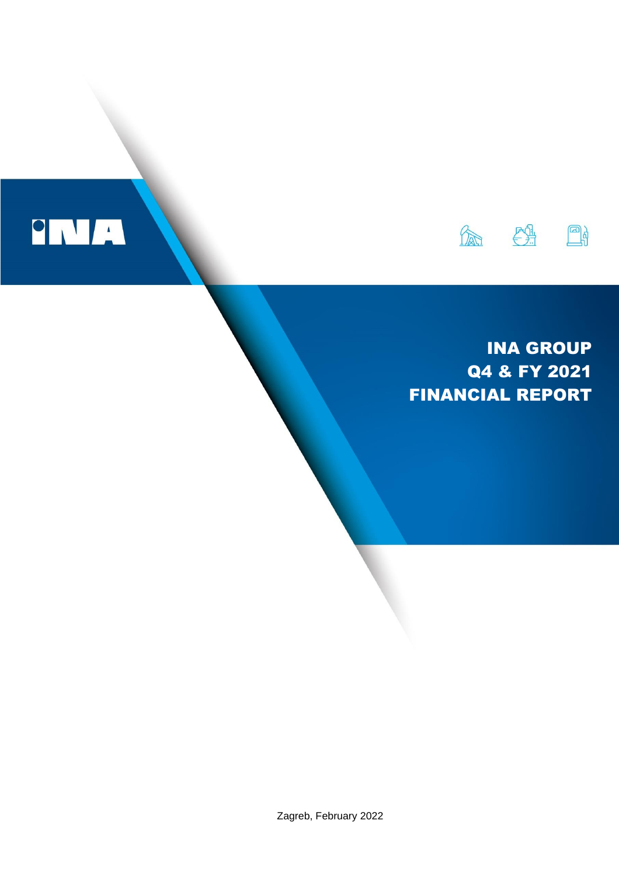

# INA GROUP Q4 & FY 2021 FINANCIAL REPORT

Zagreb, February 2022

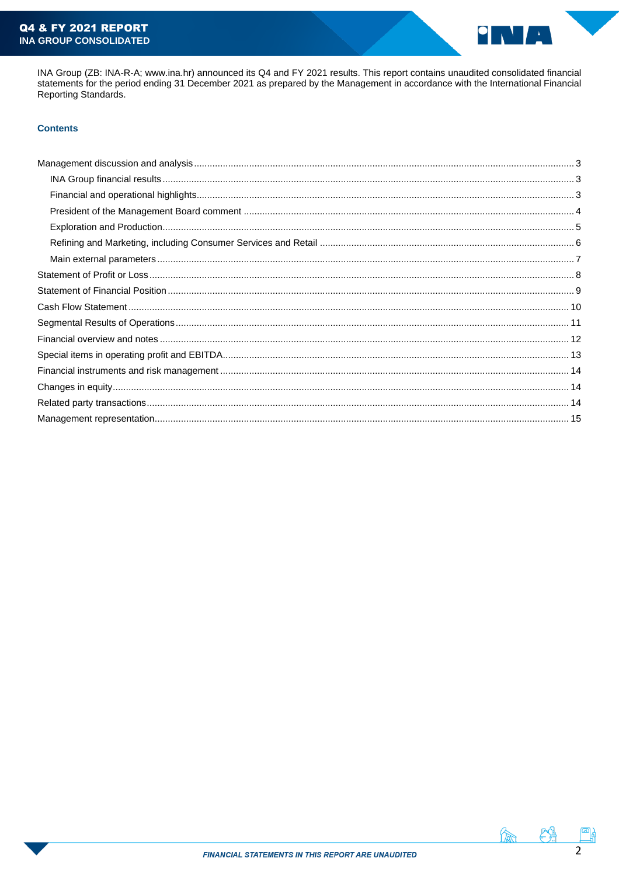

INA Group (ZB: INA-R-A; www.ina.hr) announced its Q4 and FY 2021 results. This report contains unaudited consolidated financial statements for the period ending 31 December 2021 as prepared by the Management in accordance Reporting Standards.

# **Contents**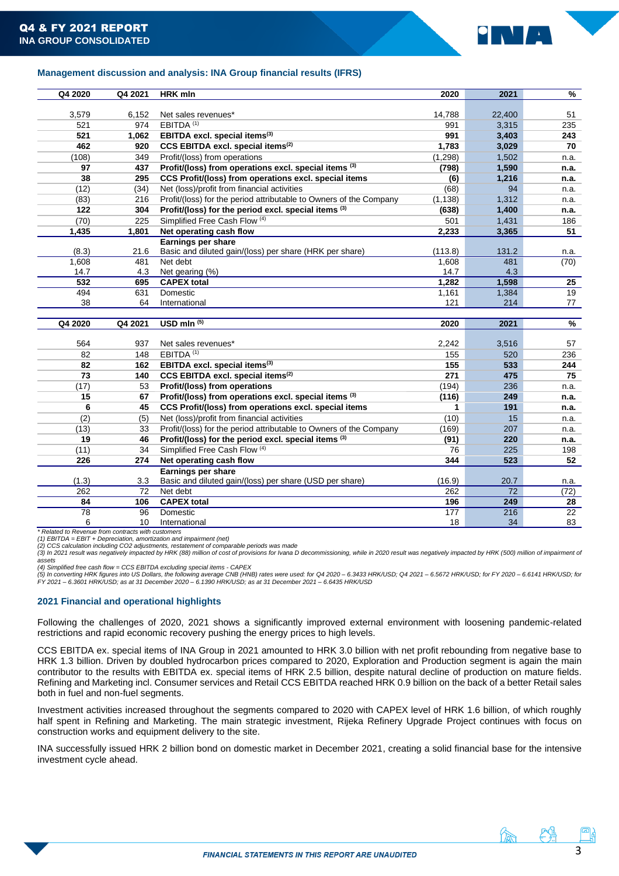

# <span id="page-2-1"></span><span id="page-2-0"></span>**Management discussion and analysis: INA Group financial results (IFRS)**

| Q4 2020 | Q4 2021  | <b>HRK</b> mln                                                     | 2020      | 2021      | $\overline{\frac{9}{6}}$ |
|---------|----------|--------------------------------------------------------------------|-----------|-----------|--------------------------|
|         |          |                                                                    |           |           |                          |
| 3,579   | 6,152    | Net sales revenues*                                                | 14,788    | 22,400    | 51                       |
| 521     | 974      | EBITDA <sup>(1)</sup>                                              | 991       | 3,315     | 235                      |
| 521     | 1,062    | EBITDA excl. special items <sup>(3)</sup>                          | 991       | 3,403     | 243                      |
| 462     | 920      | CCS EBITDA excl. special items <sup>(2)</sup>                      | 1,783     | 3,029     | 70                       |
| (108)   | 349      | Profit/(loss) from operations                                      | (1, 298)  | 1,502     | n.a.                     |
| 97      | 437      | Profit/(loss) from operations excl. special items (3)              | (798)     | 1,590     | n.a.                     |
| 38      | 295      | CCS Profit/(loss) from operations excl. special items              | (6)       | 1,216     | n.a.                     |
| (12)    | (34)     | Net (loss)/profit from financial activities                        | (68)      | 94        | n.a.                     |
| (83)    | 216      | Profit/(loss) for the period attributable to Owners of the Company | (1, 138)  | 1,312     | n.a.                     |
| 122     | 304      | Profit/(loss) for the period excl. special items (3)               | (638)     | 1,400     | n.a.                     |
| (70)    | 225      | Simplified Free Cash Flow (4)                                      | 501       | 1,431     | 186                      |
| 1,435   | 1,801    | Net operating cash flow                                            | 2,233     | 3,365     | 51                       |
|         |          | <b>Earnings per share</b>                                          |           |           |                          |
| (8.3)   | 21.6     | Basic and diluted gain/(loss) per share (HRK per share)            | (113.8)   | 131.2     | n.a.                     |
| 1,608   | 481      | Net debt                                                           | 1,608     | 481       | (70)                     |
| 14.7    | 4.3      | Net gearing (%)                                                    | 14.7      | 4.3       |                          |
| 532     | 695      | <b>CAPEX total</b>                                                 | 1,282     | 1,598     | 25                       |
| 494     | 631      | Domestic                                                           | 1,161     | 1,384     | 19                       |
| 38      | 64       | International                                                      | 121       | 214       | 77                       |
|         |          |                                                                    |           |           |                          |
| Q4 2020 | Q4 2021  | USD mln $(5)$                                                      | 2020      | 2021      | %                        |
|         |          |                                                                    |           |           |                          |
| 564     |          |                                                                    |           |           |                          |
|         | 937      | Net sales revenues*                                                | 2,242     | 3,516     | 57                       |
| 82      | 148      | EBITDA <sup>(1)</sup>                                              | 155       | 520       | 236                      |
| 82      | 162      | EBITDA excl. special items <sup>(3)</sup>                          | 155       | 533       | 244                      |
| 73      | 140      | CCS EBITDA excl. special items <sup>(2)</sup>                      | 271       | 475       | 75                       |
| (17)    | 53       | Profit/(loss) from operations                                      | (194)     | 236       | n.a.                     |
| 15      | 67       | Profit/(loss) from operations excl. special items (3)              | (116)     | 249       | n.a.                     |
| 6       | 45       | CCS Profit/(loss) from operations excl. special items              | 1         | 191       | n.a.                     |
| (2)     | (5)      | Net (loss)/profit from financial activities                        | (10)      | 15        | n.a.                     |
| (13)    | 33       | Profit/(loss) for the period attributable to Owners of the Company | (169)     | 207       | n.a.                     |
| 19      | 46       | Profit/(loss) for the period excl. special items (3)               | (91)      | 220       | n.a.                     |
| (11)    | 34       | Simplified Free Cash Flow (4)                                      | 76        | 225       | 198                      |
| 226     | 274      | Net operating cash flow                                            | 344       | 523       | 52                       |
|         |          | <b>Earnings per share</b>                                          |           |           |                          |
| (1.3)   | 3.3      | Basic and diluted gain/(loss) per share (USD per share)            | (16.9)    | 20.7      | n.a.                     |
| 262     | 72       | Net debt                                                           | 262       | 72        | (72)                     |
| 84      | 106      | <b>CAPEX total</b>                                                 | 196       | 249       | 28                       |
| 78<br>6 | 96<br>10 | Domestic<br>International                                          | 177<br>18 | 216<br>34 | 22<br>83                 |

*\* Related to Revenue from contracts with customers*

*(1) EBITDA = EBIT + Depreciation, amortization and impairment (net) (2) CCS calculation including CO2 adjustments, restatement of comparable periods was made*

*(3) In 2021 result was negatively impacted by HRK (88) million of cost of provisions for Ivana D decommissioning, while in 2020 result was negatively impacted by HRK (500) million of impairment of* 

*assets (4) Simplified free cash flow = CCS EBITDA excluding special items - CAPEX*

(5) In converting HRK figures into US Dollars, the following average CNB (HNB) rates were used: for Q4 2020 – 6.3433 HRK/USD; Q4 2021 – 6.5672 HRK/USD; for FY 2020 – 6.6141 HRK/USD; for<br>FY 2021 – 6.3601 HRK/USD; as at 31 D

## <span id="page-2-2"></span>**2021 Financial and operational highlights**

Following the challenges of 2020, 2021 shows a significantly improved external environment with loosening pandemic-related restrictions and rapid economic recovery pushing the energy prices to high levels.

CCS EBITDA ex. special items of INA Group in 2021 amounted to HRK 3.0 billion with net profit rebounding from negative base to HRK 1.3 billion. Driven by doubled hydrocarbon prices compared to 2020, Exploration and Production segment is again the main contributor to the results with EBITDA ex. special items of HRK 2.5 billion, despite natural decline of production on mature fields. Refining and Marketing incl. Consumer services and Retail CCS EBITDA reached HRK 0.9 billion on the back of a better Retail sales both in fuel and non-fuel segments.

Investment activities increased throughout the segments compared to 2020 with CAPEX level of HRK 1.6 billion, of which roughly half spent in Refining and Marketing. The main strategic investment, Rijeka Refinery Upgrade Project continues with focus on construction works and equipment delivery to the site.

<span id="page-2-3"></span>INA successfully issued HRK 2 billion bond on domestic market in December 2021, creating a solid financial base for the intensive investment cycle ahead.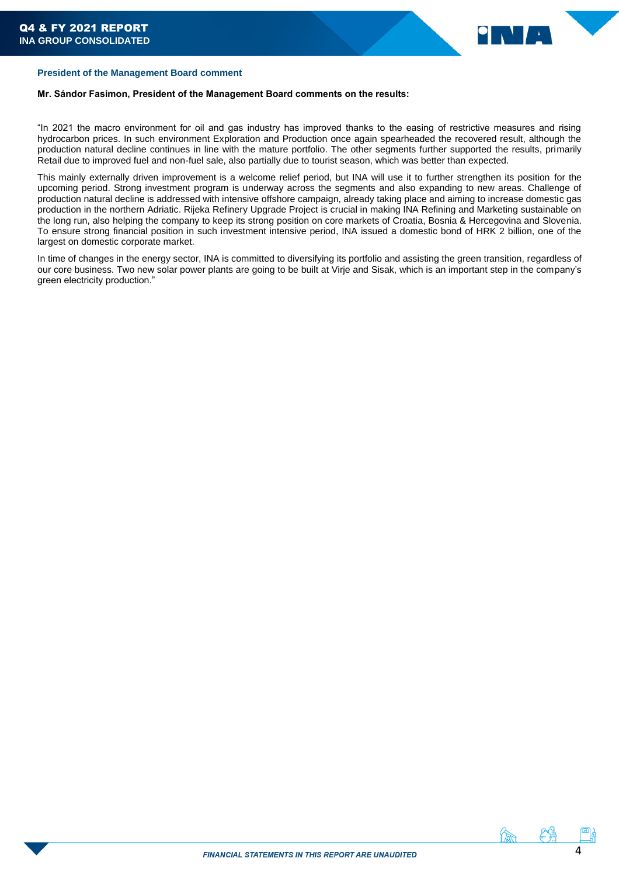

# **President of the Management Board comment**

## **Mr. Sándor Fasimon, President of the Management Board comments on the results:**

"In 2021 the macro environment for oil and gas industry has improved thanks to the easing of restrictive measures and rising hydrocarbon prices. In such environment Exploration and Production once again spearheaded the recovered result, although the production natural decline continues in line with the mature portfolio. The other segments further supported the results, primarily Retail due to improved fuel and non-fuel sale, also partially due to tourist season, which was better than expected.

This mainly externally driven improvement is a welcome relief period, but INA will use it to further strengthen its position for the upcoming period. Strong investment program is underway across the segments and also expanding to new areas. Challenge of production natural decline is addressed with intensive offshore campaign, already taking place and aiming to increase domestic gas production in the northern Adriatic. Rijeka Refinery Upgrade Project is crucial in making INA Refining and Marketing sustainable on the long run, also helping the company to keep its strong position on core markets of Croatia, Bosnia & Hercegovina and Slovenia. To ensure strong financial position in such investment intensive period, INA issued a domestic bond of HRK 2 billion, one of the largest on domestic corporate market.

In time of changes in the energy sector, INA is committed to diversifying its portfolio and assisting the green transition, regardless of our core business. Two new solar power plants are going to be built at Virje and Sisak, which is an important step in the company's green electricity production."



んちゅう 食事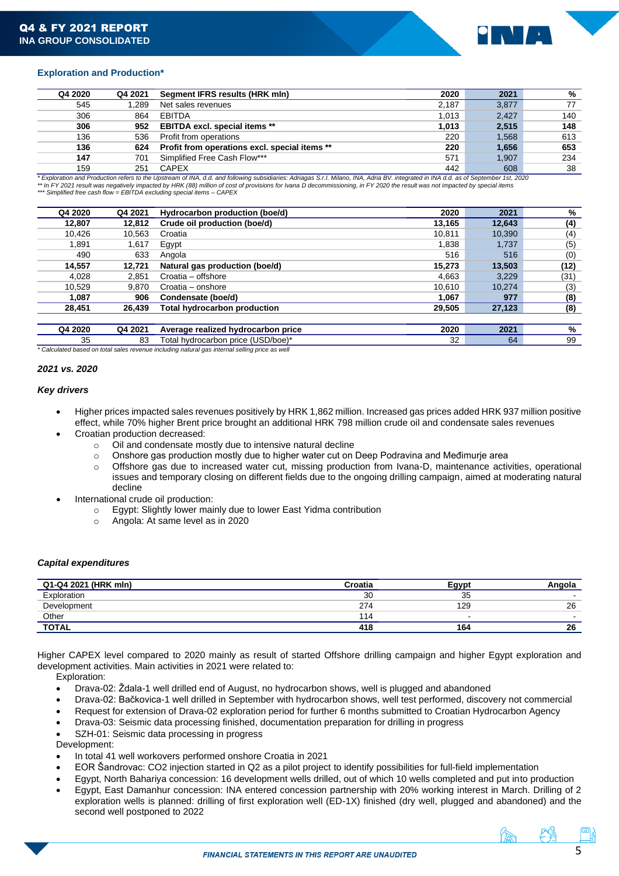

# <span id="page-4-0"></span>**Exploration and Production\***

| Q4 2020 | Q4 2021 | Segment IFRS results (HRK mln)                | 2020  | 2021  | %   |
|---------|---------|-----------------------------------------------|-------|-------|-----|
| 545     | l.289   | Net sales revenues                            | 2.187 | 3,877 | 77  |
| 306     | 864     | EBITDA                                        | 1.013 | 2.427 | 140 |
| 306     | 952     | <b>EBITDA excl. special items **</b>          | 1,013 | 2,515 | 148 |
| 136     | 536     | Profit from operations                        | 220   | 1.568 | 613 |
| 136     | 624     | Profit from operations excl. special items ** | 220   | 1.656 | 653 |
| 147     | 701     | Simplified Free Cash Flow***                  | 571   | 1.907 | 234 |
| 159     | 251     | <b>CAPEX</b>                                  | 442   | 608   | 38  |

159 251 CAPEX 442 608 38 *\* Exploration and Production refers to the Upstream of INA, d.d. and following subsidiaries: Adriagas S.r.I. Milano, INA, Adria BV. integrated in INA d.d. as of September 1st, 2020 \*\* In FY 2021 result was negatively impacted by HRK (88) million of cost of provisions for Ivana D decommissioning, in FY 2020 the result was not impacted by special items \*\*\* Simplified free cash flow = EBITDA excluding special items – CAPEX*

| Q4 2020 | Q4 2021 | Hydrocarbon production (boe/d)      | 2020   | 2021   | %    |
|---------|---------|-------------------------------------|--------|--------|------|
| 12,807  | 12,812  | Crude oil production (boe/d)        | 13,165 | 12,643 | (4)  |
| 10.426  | 10.563  | Croatia                             | 10.811 | 10,390 | (4)  |
| 1.891   | 1,617   | Egypt                               | 1,838  | 1,737  | (5)  |
| 490     | 633     | Angola                              | 516    | 516    | (0)  |
| 14,557  | 12.721  | Natural gas production (boe/d)      | 15,273 | 13,503 | (12) |
| 4,028   | 2,851   | Croatia - offshore                  | 4.663  | 3.229  | (31) |
| 10,529  | 9.870   | Croatia - onshore                   | 10,610 | 10,274 | (3)  |
| 1,087   | 906     | Condensate (boe/d)                  | 1.067  | 977    | (8)  |
| 28,451  | 26,439  | <b>Total hydrocarbon production</b> | 29,505 | 27,123 | (8)  |
|         |         |                                     |        |        |      |
| Q4 2020 | Q4 2021 | Average realized hydrocarbon price  | 2020   | 2021   | %    |
| 35      | 83      | Total hydrocarbon price (USD/boe)*  | 32     | 64     | 99   |

*\* Calculated based on total sales revenue including natural gas internal selling price as well*

### *2021 vs. 2020*

### *Key drivers*

- Higher prices impacted sales revenues positively by HRK 1,862 million. Increased gas prices added HRK 937 million positive effect, while 70% higher Brent price brought an additional HRK 798 million crude oil and condensate sales revenues
	- Croatian production decreased:
		- o Oil and condensate mostly due to intensive natural decline
		- $\circ$  Onshore gas production mostly due to higher water cut on Deep Podravina and Međimurje area
		- o Offshore gas due to increased water cut, missing production from Ivana-D, maintenance activities, operational issues and temporary closing on different fields due to the ongoing drilling campaign, aimed at moderating natural decline
- International crude oil production:
	- o Egypt: Slightly lower mainly due to lower East Yidma contribution
	- o Angola: At same level as in 2020

## *Capital expenditures*

| Q1-Q4 2021 (HRK mln) | Croatia | Egypt     |                          |
|----------------------|---------|-----------|--------------------------|
| Exploration          | 30      | つら<br>نڌن | . .                      |
| Development          | 274     | 129       | 26                       |
| Other                | 14      |           | $\overline{\phantom{a}}$ |
| <b>TOTAL</b>         | 418     | 164       | 26                       |

Higher CAPEX level compared to 2020 mainly as result of started Offshore drilling campaign and higher Egypt exploration and development activities. Main activities in 2021 were related to:

Exploration:

- Drava-02: Ždala-1 well drilled end of August, no hydrocarbon shows, well is plugged and abandoned
- Drava-02: Bačkovica-1 well drilled in September with hydrocarbon shows, well test performed, discovery not commercial
- Request for extension of Drava-02 exploration period for further 6 months submitted to Croatian Hydrocarbon Agency
- Drava-03: Seismic data processing finished, documentation preparation for drilling in progress

SZH-01: Seismic data processing in progress

Development:

- In total 41 well workovers performed onshore Croatia in 2021
- EOR Šandrovac: CO2 injection started in Q2 as a pilot project to identify possibilities for full-field implementation
- Egypt, North Bahariya concession: 16 development wells drilled, out of which 10 wells completed and put into production • Egypt, East Damanhur concession: INA entered concession partnership with 20% working interest in March. Drilling of 2
- exploration wells is planned: drilling of first exploration well (ED-1X) finished (dry well, plugged and abandoned) and the second well postponed to 2022

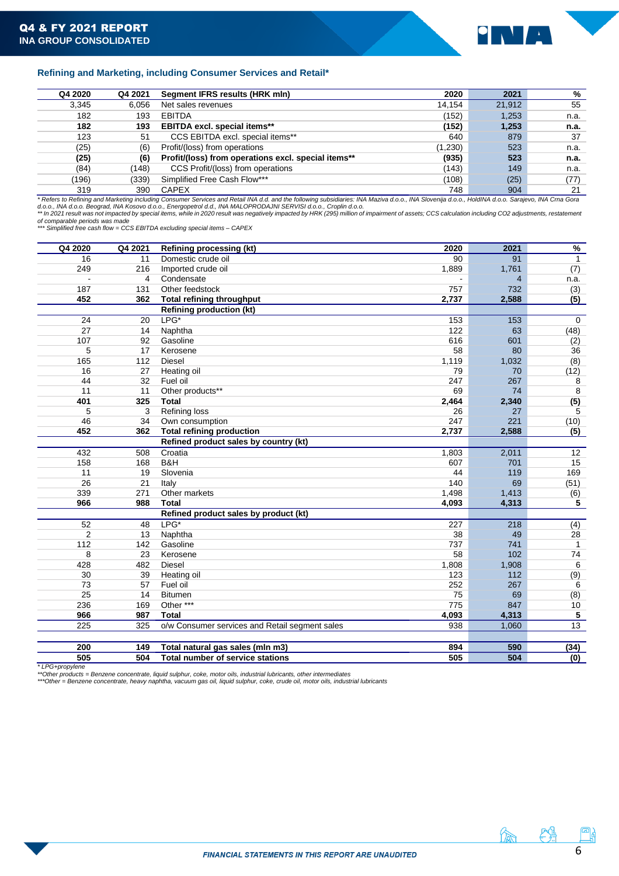

# <span id="page-5-0"></span>**Refining and Marketing, including Consumer Services and Retail\***

| Q4 2020 | Q4 2021                                                                                                                                                                                            | Segment IFRS results (HRK mln)                      | 2020    | 2021   | %    |  |
|---------|----------------------------------------------------------------------------------------------------------------------------------------------------------------------------------------------------|-----------------------------------------------------|---------|--------|------|--|
| 3,345   | 6.056                                                                                                                                                                                              | Net sales revenues                                  | 14.154  | 21,912 | 55   |  |
| 182     | 193                                                                                                                                                                                                | <b>EBITDA</b>                                       | (152)   | 1,253  | n.a. |  |
| 182     | 193                                                                                                                                                                                                | <b>EBITDA excl. special items**</b>                 | (152)   | 1,253  | n.a. |  |
| 123     | -51                                                                                                                                                                                                | CCS EBITDA excl. special items**                    | 640     | 879    | 37   |  |
| (25)    | (6)                                                                                                                                                                                                | Profit/(loss) from operations                       | (1,230) | 523    | n.a. |  |
| (25)    | (6)                                                                                                                                                                                                | Profit/(loss) from operations excl. special items** | (935)   | 523    | n.a. |  |
| (84)    | (148)                                                                                                                                                                                              | CCS Profit/(loss) from operations                   | (143)   | 149    | n.a. |  |
| (196)   | (339)                                                                                                                                                                                              | Simplified Free Cash Flow***                        | (108)   | (25)   | (77) |  |
| 319     | 390                                                                                                                                                                                                | <b>CAPEX</b>                                        | 748     | 904    | 21   |  |
|         | * Refers to Refining and Marketing including Consumer Services and Retail INA d.d. and the following subsidiaries: INA Maziva d.o.o., INA Slovenija d.o.o., HoldINA d.o.o. Sarajevo, INA Crna Gora |                                                     |         |        |      |  |

d.o.o., INA d.o.o. Beograd, INA Kosovo d.o.o., Energopetrol d.d., INA MALOPRODAJNI SERVISI d.o.o., Croplin d.o.o.<br>\*\* In 2021 result was not impacted by special items, while in 2020 result was negatively impacted by HRK (29

*of comparable periods was made \*\*\* Simplified free cash flow = CCS EBITDA excluding special items – CAPEX*

| Q4 2020              | Q4 2021 | <b>Refining processing (kt)</b>                | 2020  | 2021           | $\frac{9}{6}$  |
|----------------------|---------|------------------------------------------------|-------|----------------|----------------|
| 16                   | 11      | Domestic crude oil                             | 90    | 91             | $\overline{1}$ |
| 249                  | 216     | Imported crude oil                             | 1,889 | 1,761          | (7)            |
| $\ddot{\phantom{a}}$ | 4       | Condensate                                     |       | $\overline{4}$ | n.a.           |
| 187                  | 131     | Other feedstock                                | 757   | 732            | (3)            |
| 452                  | 362     | <b>Total refining throughput</b>               | 2,737 | 2,588          | (5)            |
|                      |         | <b>Refining production (kt)</b>                |       |                |                |
| 24                   | 20      | LPG*                                           | 153   | 153            | $\mathbf 0$    |
| 27                   | 14      | Naphtha                                        | 122   | 63             | (48)           |
| 107                  | 92      | Gasoline                                       | 616   | 601            | (2)            |
| 5                    | 17      | Kerosene                                       | 58    | 80             | 36             |
| 165                  | 112     | <b>Diesel</b>                                  | 1,119 | 1,032          | (8)            |
| 16                   | 27      | Heating oil                                    | 79    | 70             | (12)           |
| 44                   | 32      | Fuel oil                                       | 247   | 267            | 8              |
| 11                   | 11      | Other products**                               | 69    | 74             | 8              |
| 401                  | 325     | <b>Total</b>                                   | 2,464 | 2,340          | (5)            |
| 5                    | 3       | Refining loss                                  | 26    | 27             | 5              |
| 46                   | 34      | Own consumption                                | 247   | 221            | (10)           |
| 452                  | 362     | <b>Total refining production</b>               | 2,737 | 2,588          | (5)            |
|                      |         | Refined product sales by country (kt)          |       |                |                |
| 432                  | 508     | Croatia                                        | 1,803 | 2,011          | 12             |
| 158                  | 168     | B&H                                            | 607   | 701            | 15             |
| 11                   | 19      | Slovenia                                       | 44    | 119            | 169            |
| 26                   | 21      | Italy                                          | 140   | 69             | (51)           |
| 339                  | 271     | Other markets                                  | 1,498 | 1,413          | (6)            |
| 966                  | 988     | <b>Total</b>                                   | 4,093 | 4,313          | 5              |
|                      |         | Refined product sales by product (kt)          |       |                |                |
| 52                   | 48      | $LPG*$                                         | 227   | 218            | (4)            |
| $\overline{2}$       | 13      | Naphtha                                        | 38    | 49             | 28             |
| 112                  | 142     | Gasoline                                       | 737   | 741            | $\mathbf{1}$   |
| 8                    | 23      | Kerosene                                       | 58    | 102            | 74             |
| 428                  | 482     | <b>Diesel</b>                                  | 1,808 | 1,908          | 6              |
| 30                   | 39      | Heating oil                                    | 123   | 112            | (9)            |
| 73                   | 57      | Fuel oil                                       | 252   | 267            | 6              |
| 25                   | 14      | <b>Bitumen</b>                                 | 75    | 69             | (8)            |
| 236                  | 169     | Other ***                                      | 775   | 847            | 10             |
| 966                  | 987     | <b>Total</b>                                   | 4,093 | 4,313          | 5              |
| 225                  | 325     | o/w Consumer services and Retail segment sales | 938   | 1,060          | 13             |
|                      |         |                                                |       |                |                |
| 200                  | 149     | Total natural gas sales (mln m3)               | 894   | 590            | (34)           |
| 505                  | 504     | <b>Total number of service stations</b>        | 505   | 504            | (0)            |

*\* LPG+propylene*

\*\*Other products = Benzene concentrate, liquid sulphur, coke, motor oils, industrial lubricants, other intermediates<br>\*\*\*Other = Benzene concentrate, heavy naphtha, vacuum gas oil, liquid sulphur, coke, crude oil, motor oil

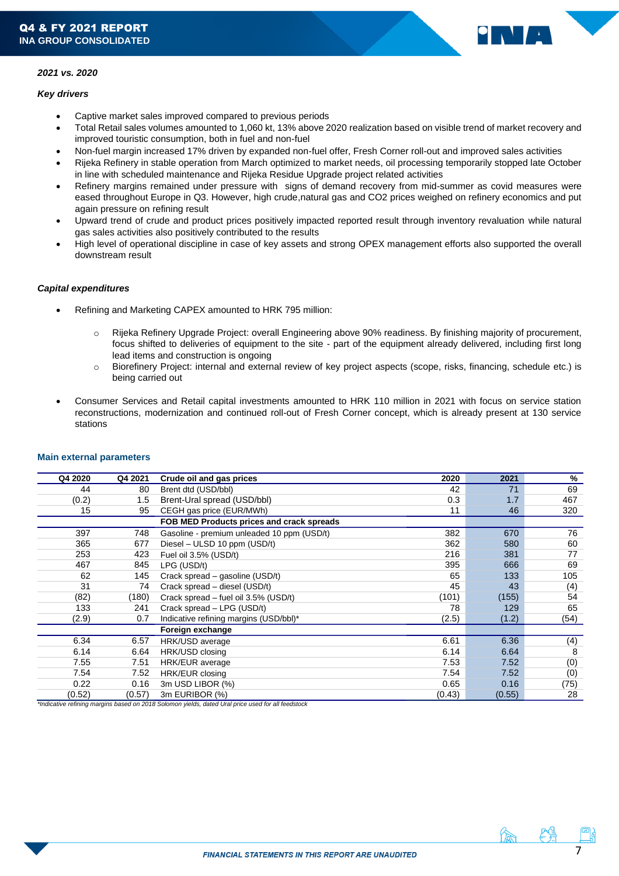

# *2021 vs. 2020*

## *Key drivers*

- Captive market sales improved compared to previous periods
- Total Retail sales volumes amounted to 1,060 kt, 13% above 2020 realization based on visible trend of market recovery and improved touristic consumption, both in fuel and non-fuel
- Non-fuel margin increased 17% driven by expanded non-fuel offer, Fresh Corner roll-out and improved sales activities
- Rijeka Refinery in stable operation from March optimized to market needs, oil processing temporarily stopped late October in line with scheduled maintenance and Rijeka Residue Upgrade project related activities
- Refinery margins remained under pressure with signs of demand recovery from mid-summer as covid measures were eased throughout Europe in Q3. However, high crude,natural gas and CO2 prices weighed on refinery economics and put again pressure on refining result
- Upward trend of crude and product prices positively impacted reported result through inventory revaluation while natural gas sales activities also positively contributed to the results
- High level of operational discipline in case of key assets and strong OPEX management efforts also supported the overall downstream result

# <span id="page-6-0"></span>*Capital expenditures*

- Refining and Marketing CAPEX amounted to HRK 795 million:
	- o Rijeka Refinery Upgrade Project: overall Engineering above 90% readiness. By finishing majority of procurement, focus shifted to deliveries of equipment to the site - part of the equipment already delivered, including first long lead items and construction is ongoing
	- o Biorefinery Project: internal and external review of key project aspects (scope, risks, financing, schedule etc.) is being carried out
- Consumer Services and Retail capital investments amounted to HRK 110 million in 2021 with focus on service station reconstructions, modernization and continued roll-out of Fresh Corner concept, which is already present at 130 service stations

| Q4 2020 | Q4 2021 | Crude oil and gas prices                   | 2020   | 2021   | %    |
|---------|---------|--------------------------------------------|--------|--------|------|
| 44      | 80      | Brent dtd (USD/bbl)                        | 42     | 71     | 69   |
| (0.2)   | 1.5     | Brent-Ural spread (USD/bbl)                | 0.3    | 1.7    | 467  |
| 15      | 95      | CEGH gas price (EUR/MWh)                   | 11     | 46     | 320  |
|         |         | FOB MED Products prices and crack spreads  |        |        |      |
| 397     | 748     | Gasoline - premium unleaded 10 ppm (USD/t) | 382    | 670    | 76   |
| 365     | 677     | Diesel - ULSD 10 ppm (USD/t)               | 362    | 580    | 60   |
| 253     | 423     | Fuel oil 3.5% (USD/t)                      | 216    | 381    | 77   |
| 467     | 845     | LPG (USD/t)                                | 395    | 666    | 69   |
| 62      | 145     | Crack spread – gasoline (USD/t)            | 65     | 133    | 105  |
| 31      | 74      | Crack spread – diesel (USD/t)              | 45     | 43     | (4)  |
| (82)    | (180)   | Crack spread - fuel oil 3.5% (USD/t)       | (101)  | (155)  | 54   |
| 133     | 241     | Crack spread - LPG (USD/t)                 | 78     | 129    | 65   |
| (2.9)   | 0.7     | Indicative refining margins (USD/bbl)*     | (2.5)  | (1.2)  | (54) |
|         |         | Foreign exchange                           |        |        |      |
| 6.34    | 6.57    | HRK/USD average                            | 6.61   | 6.36   | (4)  |
| 6.14    | 6.64    | HRK/USD closing                            | 6.14   | 6.64   | 8    |
| 7.55    | 7.51    | HRK/EUR average                            | 7.53   | 7.52   | (0)  |
| 7.54    | 7.52    | HRK/EUR closing                            | 7.54   | 7.52   | (0)  |
| 0.22    | 0.16    | 3m USD LIBOR (%)                           | 0.65   | 0.16   | (75) |
| (0.52)  | (0.57)  | 3m EURIBOR (%)                             | (0.43) | (0.55) | 28   |

## **Main external parameters**

*\*Indicative refining margins based on 2018 Solomon yields, dated Ural price used for all feedstock*

7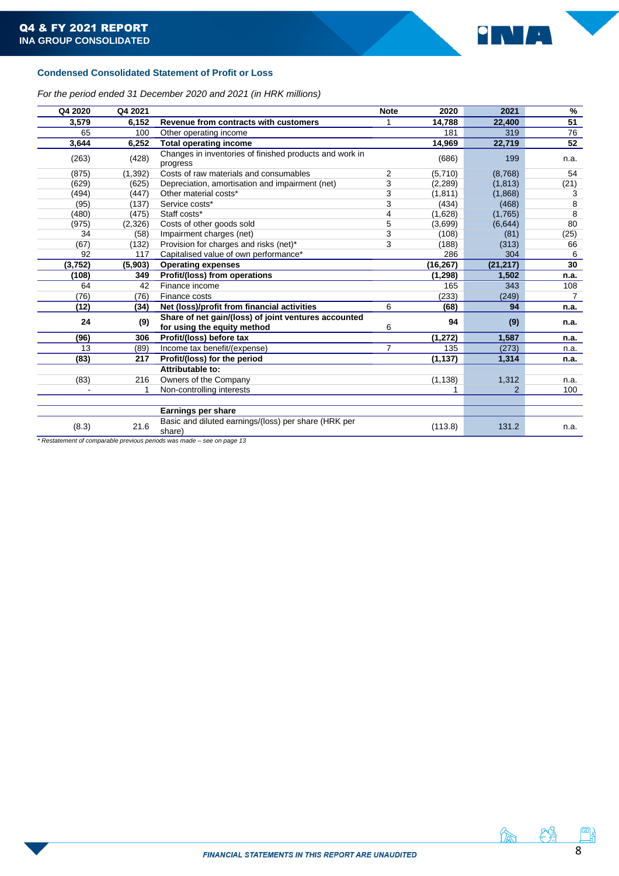

# <span id="page-7-0"></span>**Condensed Consolidated Statement of Profit or Loss**

*For the period ended 31 December 2020 and 2021 (in HRK millions)*

| Q4 2020        | Q4 2021  |                                                                                     | <b>Note</b> | 2020      | 2021           | %               |
|----------------|----------|-------------------------------------------------------------------------------------|-------------|-----------|----------------|-----------------|
| 3,579          | 6,152    | Revenue from contracts with customers                                               | 1           | 14,788    | 22,400         | $\overline{51}$ |
| 65             | 100      | Other operating income                                                              |             | 181       | 319            | 76              |
| 3,644          | 6,252    | <b>Total operating income</b>                                                       |             | 14,969    | 22,719         | 52              |
| (263)          | (428)    | Changes in inventories of finished products and work in<br>progress                 |             | (686)     | 199            | n.a.            |
| (875)          | (1, 392) | Costs of raw materials and consumables                                              | 2           | (5,710)   | (8,768)        | 54              |
| (629)          | (625)    | Depreciation, amortisation and impairment (net)                                     | 3           | (2, 289)  | (1,813)        | (21)            |
| (494)          | (447)    | Other material costs*                                                               | 3           | (1, 811)  | (1,868)        | 3               |
| (95)           | (137)    | Service costs*                                                                      | 3           | (434)     | (468)          | 8               |
| (480)          | (475)    | Staff costs*                                                                        | 4           | (1,628)   | (1,765)        | 8               |
| (975)          | (2,326)  | Costs of other goods sold                                                           | 5           | (3,699)   | (6,644)        | 80              |
| 34             | (58)     | Impairment charges (net)                                                            | 3           | (108)     | (81)           | (25)            |
| (67)           | (132)    | Provision for charges and risks (net)*                                              | 3           | (188)     | (313)          | 66              |
| 92             | 117      | Capitalised value of own performance*                                               |             | 286       | 304            | 6               |
| (3, 752)       | (5,903)  | <b>Operating expenses</b>                                                           |             | (16, 267) | (21, 217)      | 30              |
| (108)          | 349      | Profit/(loss) from operations                                                       |             | (1, 298)  | 1,502          | n.a.            |
| 64             | 42       | Finance income                                                                      |             | 165       | 343            | 108             |
| (76)           | (76)     | Finance costs                                                                       |             | (233)     | (249)          | $\overline{7}$  |
| (12)           | (34)     | Net (loss)/profit from financial activities                                         | 6           | (68)      | 94             | n.a.            |
| 24             | (9)      | Share of net gain/(loss) of joint ventures accounted<br>for using the equity method | 6           | 94        | (9)            | n.a.            |
| (96)           | 306      | Profit/(loss) before tax                                                            |             | (1, 272)  | 1,587          | n.a.            |
| 13             | (89)     | Income tax benefit/(expense)                                                        | 7           | 135       | (273)          | n.a.            |
| (83)           | 217      | Profit/(loss) for the period                                                        |             | (1, 137)  | 1,314          | n.a.            |
|                |          | Attributable to:                                                                    |             |           |                |                 |
| (83)           | 216      | Owners of the Company                                                               |             | (1, 138)  | 1,312          | n.a.            |
| $\blacksquare$ |          | Non-controlling interests                                                           |             |           | $\overline{2}$ | 100             |
|                |          |                                                                                     |             |           |                |                 |
|                |          | Earnings per share                                                                  |             |           |                |                 |
| (8.3)          | 21.6     | Basic and diluted earnings/(loss) per share (HRK per<br>share)                      |             | (113.8)   | 131.2          | n.a.            |

*\* Restatement of comparable previous periods was made – see on page 13*



A CH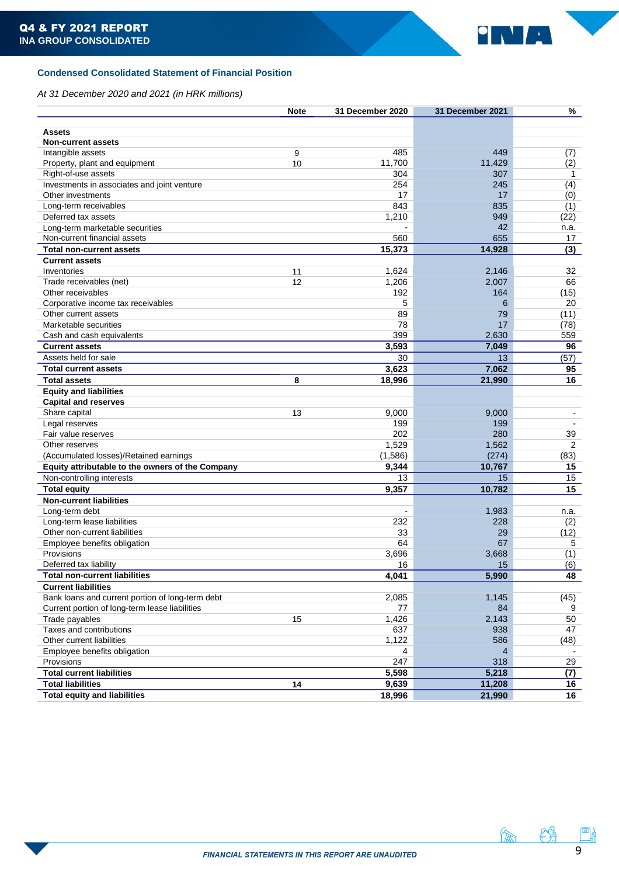

# <span id="page-8-0"></span>**Condensed Consolidated Statement of Financial Position**

*At 31 December 2020 and 2021 (in HRK millions)*

|                                                  | <b>Note</b> | 31 December 2020 | 31 December 2021 | %              |
|--------------------------------------------------|-------------|------------------|------------------|----------------|
|                                                  |             |                  |                  |                |
| <b>Assets</b>                                    |             |                  |                  |                |
| <b>Non-current assets</b>                        |             |                  |                  |                |
| Intangible assets                                | 9           | 485              | 449              | (7)            |
| Property, plant and equipment                    | 10          | 11.700           | 11,429           | (2)            |
| Right-of-use assets                              |             | 304              | 307              | 1              |
| Investments in associates and joint venture      |             | 254              | 245              | (4)            |
| Other investments                                |             | 17               | 17               | (0)            |
| Long-term receivables                            |             | 843              | 835              | (1)            |
| Deferred tax assets                              |             | 1,210            | 949              | (22)           |
| Long-term marketable securities                  |             |                  | 42               | n.a.           |
| Non-current financial assets                     |             | 560              | 655              | 17             |
| <b>Total non-current assets</b>                  |             | 15,373           | 14,928           | (3)            |
| <b>Current assets</b>                            |             |                  |                  |                |
| Inventories                                      | 11          | 1,624            | 2,146            | 32             |
| Trade receivables (net)                          | 12          | 1,206            | 2,007            | 66             |
| Other receivables                                |             | 192              | 164              | (15)           |
| Corporative income tax receivables               |             | 5                | 6                | 20             |
| Other current assets                             |             | 89               | 79               | (11)           |
| Marketable securities                            |             | 78               | 17               | (78)           |
| Cash and cash equivalents                        |             | 399              | 2,630            | 559            |
| <b>Current assets</b>                            |             | 3,593            | 7,049            | 96             |
| Assets held for sale                             |             | 30               | 13               | (57)           |
|                                                  |             | 3,623            | 7,062            | 95             |
| <b>Total current assets</b>                      |             |                  |                  |                |
| <b>Total assets</b>                              | 8           | 18,996           | 21,990           | 16             |
| <b>Equity and liabilities</b>                    |             |                  |                  |                |
| <b>Capital and reserves</b>                      |             |                  |                  |                |
| Share capital                                    | 13          | 9,000            | 9,000            | $\blacksquare$ |
| Legal reserves                                   |             | 199              | 199              |                |
| Fair value reserves                              |             | 202              | 280              | 39             |
| Other reserves                                   |             | 1,529            | 1,562            | $\overline{2}$ |
| (Accumulated losses)/Retained earnings           |             | (1,586)          | (274)            | (83)           |
| Equity attributable to the owners of the Company |             | 9,344            | 10,767           | 15             |
| Non-controlling interests                        |             | 13               | 15               | 15             |
| <b>Total equity</b>                              |             | 9,357            | 10,782           | 15             |
| <b>Non-current liabilities</b>                   |             |                  |                  |                |
| Long-term debt                                   |             |                  | 1,983            | n.a.           |
| Long-term lease liabilities                      |             | 232              | 228              | (2)            |
| Other non-current liabilities                    |             | 33               | 29               | (12)           |
| Employee benefits obligation                     |             | 64               | 67               | 5              |
| Provisions                                       |             | 3,696            | 3,668            | (1)            |
| Deferred tax liability                           |             | 16               | 15               | (6)            |
| <b>Total non-current liabilities</b>             |             | 4,041            | 5,990            | 48             |
| <b>Current liabilities</b>                       |             |                  |                  |                |
| Bank loans and current portion of long-term debt |             | 2,085            | 1,145            | (45)           |
| Current portion of long-term lease liabilities   |             | 77               | 84               | 9              |
| Trade payables                                   | 15          | 1,426            | 2,143            | 50             |
| Taxes and contributions                          |             | 637              | 938              | 47             |
| Other current liabilities                        |             | 1,122            | 586              | (48)           |
| Employee benefits obligation                     |             | 4                | 4                |                |
| Provisions                                       |             | 247              | 318              | 29             |
| <b>Total current liabilities</b>                 |             | 5,598            | 5,218            | (7)            |
| <b>Total liabilities</b>                         | 14          | 9,639            | 11,208           | 16             |
| <b>Total equity and liabilities</b>              |             | 18,996           | 21,990           | 16             |
|                                                  |             |                  |                  |                |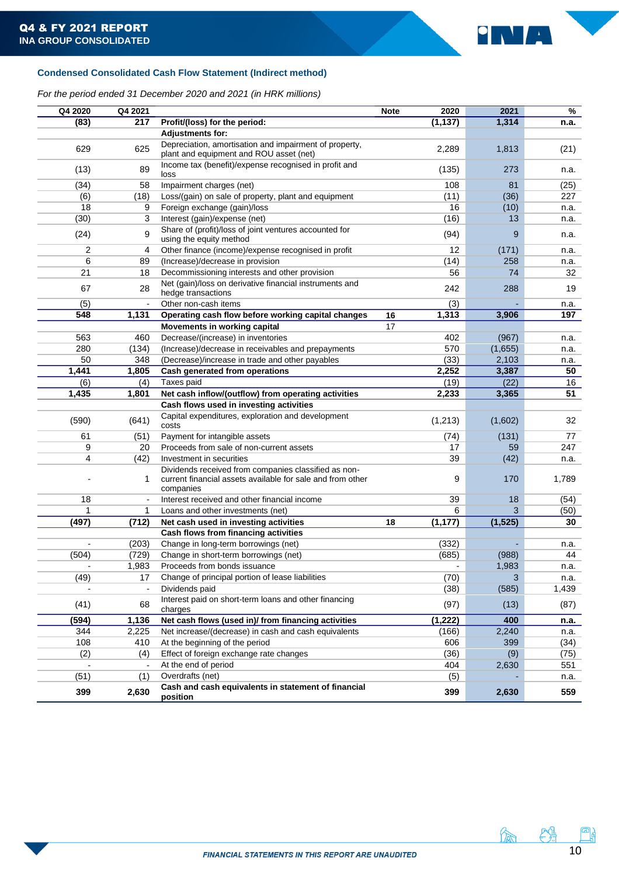

# <span id="page-9-0"></span>**Condensed Consolidated Cash Flow Statement (Indirect method)**

# *For the period ended 31 December 2020 and 2021 (in HRK millions)*

<span id="page-9-1"></span>

| Q4 2020 | Q4 2021        |                                                                                                                                 | <b>Note</b> | 2020              | 2021     | %     |
|---------|----------------|---------------------------------------------------------------------------------------------------------------------------------|-------------|-------------------|----------|-------|
| (83)    | 217            | Profit/(loss) for the period:                                                                                                   |             | (1, 137)          | 1,314    | n.a.  |
|         |                | <b>Adjustments for:</b>                                                                                                         |             |                   |          |       |
| 629     | 625            | Depreciation, amortisation and impairment of property,<br>plant and equipment and ROU asset (net)                               |             | 2,289             | 1,813    | (21)  |
| (13)    | 89             | Income tax (benefit)/expense recognised in profit and<br>loss                                                                   |             | (135)             | 273      | n.a.  |
| (34)    | 58             | Impairment charges (net)                                                                                                        |             | 108               | 81       | (25)  |
| (6)     | (18)           | Loss/(gain) on sale of property, plant and equipment                                                                            |             | (11)              | (36)     | 227   |
| 18      | 9              | Foreign exchange (gain)/loss                                                                                                    |             | 16                | (10)     | n.a.  |
| (30)    | 3              | Interest (gain)/expense (net)                                                                                                   |             | (16)              | 13       | n.a.  |
| (24)    | 9              | Share of (profit)/loss of joint ventures accounted for<br>using the equity method                                               |             | (94)              | 9        | n.a.  |
| 2       | 4              | Other finance (income)/expense recognised in profit                                                                             |             | $12 \overline{ }$ | (171)    | n.a.  |
| 6       | 89             | (Increase)/decrease in provision                                                                                                |             | (14)              | 258      | n.a.  |
| 21      | 18             | Decommissioning interests and other provision                                                                                   |             | 56                | 74       | 32    |
| 67      | 28             | Net (gain)/loss on derivative financial instruments and<br>hedge transactions                                                   |             | 242               | 288      | 19    |
| (5)     |                | Other non-cash items                                                                                                            |             | (3)               |          | n.a.  |
| 548     | 1,131          | Operating cash flow before working capital changes                                                                              | 16          | 1,313             | 3,906    | 197   |
|         |                | <b>Movements in working capital</b>                                                                                             | 17          |                   |          |       |
| 563     | 460            | Decrease/(increase) in inventories                                                                                              |             | 402               | (967)    | n.a.  |
| 280     | (134)          | (Increase)/decrease in receivables and prepayments                                                                              |             | 570               | (1,655)  | n.a.  |
| 50      | 348            | (Decrease)/increase in trade and other payables                                                                                 |             | (33)              | 2,103    | n.a.  |
| 1,441   | 1,805          | Cash generated from operations                                                                                                  |             | 2,252             | 3,387    | 50    |
| (6)     | (4)            | Taxes paid                                                                                                                      |             | (19)              | (22)     | 16    |
| 1,435   | 1,801          | Net cash inflow/(outflow) from operating activities                                                                             |             | 2,233             | 3,365    | 51    |
|         |                | Cash flows used in investing activities                                                                                         |             |                   |          |       |
| (590)   | (641)          | Capital expenditures, exploration and development<br>costs                                                                      |             | (1, 213)          | (1,602)  | 32    |
| 61      | (51)           | Payment for intangible assets                                                                                                   |             | (74)              | (131)    | 77    |
| 9       | 20             | Proceeds from sale of non-current assets                                                                                        |             | 17                | 59       | 247   |
| 4       | (42)           | Investment in securities                                                                                                        |             | 39                | (42)     | n.a.  |
|         | 1              | Dividends received from companies classified as non-<br>current financial assets available for sale and from other<br>companies |             | 9                 | 170      | 1,789 |
| 18      | $\blacksquare$ | Interest received and other financial income                                                                                    |             | 39                | 18       | (54)  |
| 1       | 1              | Loans and other investments (net)                                                                                               |             | 6                 | 3        | (50)  |
| (497)   | (712)          | Net cash used in investing activities                                                                                           | 18          | (1, 177)          | (1, 525) | 30    |
|         |                | Cash flows from financing activities                                                                                            |             |                   |          |       |
|         | (203)          | Change in long-term borrowings (net)                                                                                            |             | (332)             |          | n.a.  |
| (504)   | (729)          | Change in short-term borrowings (net)                                                                                           |             | (685)             | (988)    | 44    |
|         | 1,983          | Proceeds from bonds issuance                                                                                                    |             |                   | 1,983    | n.a.  |
| (49)    | 17             | Change of principal portion of lease liabilities                                                                                |             | (70)              | 3        | n.a.  |
|         |                | Dividends paid                                                                                                                  |             | (38)              | (585)    | 1,439 |
| (41)    | 68             | Interest paid on short-term loans and other financing<br>charges                                                                |             | (97)              | (13)     | (87)  |
| (594)   | 1,136          | Net cash flows (used in)/ from financing activities                                                                             |             | (1, 222)          | 400      | n.a.  |
| 344     | 2,225          | Net increase/(decrease) in cash and cash equivalents                                                                            |             | (166)             | 2,240    | n.a.  |
| 108     | 410            | At the beginning of the period                                                                                                  |             | 606               | 399      | (34)  |
| (2)     | (4)            | Effect of foreign exchange rate changes                                                                                         |             | (36)              | (9)      | (75)  |
|         |                | At the end of period                                                                                                            |             | 404               | 2,630    | 551   |
| (51)    | (1)            | Overdrafts (net)                                                                                                                |             | (5)               |          | n.a.  |
| 399     | 2,630          | Cash and cash equivalents in statement of financial<br>position                                                                 |             | 399               | 2,630    | 559   |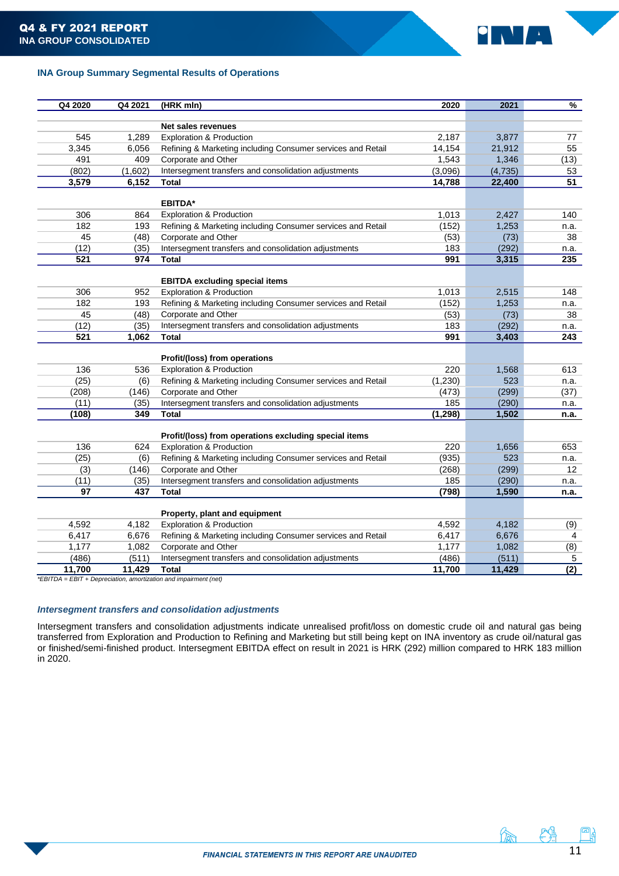

# **INA Group Summary Segmental Results of Operations**

| Q4 2020 | Q4 2021 | (HRK mln)                                                        | 2020     | 2021    | $\frac{9}{6}$    |
|---------|---------|------------------------------------------------------------------|----------|---------|------------------|
|         |         |                                                                  |          |         |                  |
|         |         | <b>Net sales revenues</b>                                        |          |         |                  |
| 545     | 1,289   | <b>Exploration &amp; Production</b>                              | 2,187    | 3,877   | 77               |
| 3,345   | 6,056   | Refining & Marketing including Consumer services and Retail      | 14,154   | 21,912  | 55               |
| 491     | 409     | Corporate and Other                                              | 1,543    | 1,346   | (13)             |
| (802)   | (1,602) | Intersegment transfers and consolidation adjustments             | (3,096)  | (4,735) | 53               |
| 3,579   | 6,152   | Total                                                            | 14,788   | 22,400  | 51               |
|         |         | <b>EBITDA*</b>                                                   |          |         |                  |
| 306     | 864     | <b>Exploration &amp; Production</b>                              | 1,013    | 2,427   | 140              |
| 182     | 193     | Refining & Marketing including Consumer services and Retail      | (152)    | 1,253   | n.a.             |
| 45      | (48)    | Corporate and Other                                              | (53)     | (73)    | 38               |
| (12)    | (35)    | Intersegment transfers and consolidation adjustments             | 183      | (292)   | n.a.             |
| 521     | 974     | Total                                                            | 991      | 3,315   | 235              |
|         |         |                                                                  |          |         |                  |
|         |         | <b>EBITDA excluding special items</b>                            |          |         |                  |
| 306     | 952     | <b>Exploration &amp; Production</b>                              | 1,013    | 2,515   | 148              |
| 182     | 193     | Refining & Marketing including Consumer services and Retail      | (152)    | 1,253   | n.a.             |
| 45      | (48)    | Corporate and Other                                              | (53)     | (73)    | 38               |
| (12)    | (35)    | Intersegment transfers and consolidation adjustments             | 183      | (292)   | n.a.             |
| 521     | 1,062   | Total                                                            | 991      | 3,403   | 243              |
|         |         |                                                                  |          |         |                  |
|         |         | Profit/(loss) from operations                                    |          |         |                  |
| 136     | 536     | <b>Exploration &amp; Production</b>                              | 220      | 1,568   | 613              |
| (25)    | (6)     | Refining & Marketing including Consumer services and Retail      | (1,230)  | 523     | n.a.             |
| (208)   | (146)   | Corporate and Other                                              | (473)    | (299)   | (37)             |
| (11)    | (35)    | Intersegment transfers and consolidation adjustments             | 185      | (290)   | n.a.             |
| (108)   | 349     | Total                                                            | (1, 298) | 1,502   | n.a.             |
|         |         |                                                                  |          |         |                  |
|         |         | Profit/(loss) from operations excluding special items            |          |         |                  |
| 136     | 624     | <b>Exploration &amp; Production</b>                              | 220      | 1,656   | 653              |
| (25)    | (6)     | Refining & Marketing including Consumer services and Retail      | (935)    | 523     | n.a.             |
| (3)     | (146)   | Corporate and Other                                              | (268)    | (299)   | 12               |
| (11)    | (35)    | Intersegment transfers and consolidation adjustments             | 185      | (290)   | n.a.             |
| 97      | 437     | <b>Total</b>                                                     | (798)    | 1,590   | n.a.             |
|         |         | Property, plant and equipment                                    |          |         |                  |
| 4,592   | 4,182   | <b>Exploration &amp; Production</b>                              | 4,592    | 4,182   | (9)              |
| 6,417   | 6,676   | Refining & Marketing including Consumer services and Retail      | 6,417    | 6,676   | 4                |
| 1,177   | 1,082   | Corporate and Other                                              | 1,177    | 1,082   | (8)              |
| (486)   | (511)   | Intersegment transfers and consolidation adjustments             | (486)    | (511)   | 5                |
| 11,700  | 11,429  | Total                                                            | 11,700   | 11,429  | $\overline{(2)}$ |
|         |         | *EBITDA = EBIT + Depreciation, amortization and impairment (net) |          |         |                  |

# *Intersegment transfers and consolidation adjustments*

Intersegment transfers and consolidation adjustments indicate unrealised profit/loss on domestic crude oil and natural gas being transferred from Exploration and Production to Refining and Marketing but still being kept on INA inventory as crude oil/natural gas or finished/semi-finished product. Intersegment EBITDA effect on result in 2021 is HRK (292) million compared to HRK 183 million in 2020.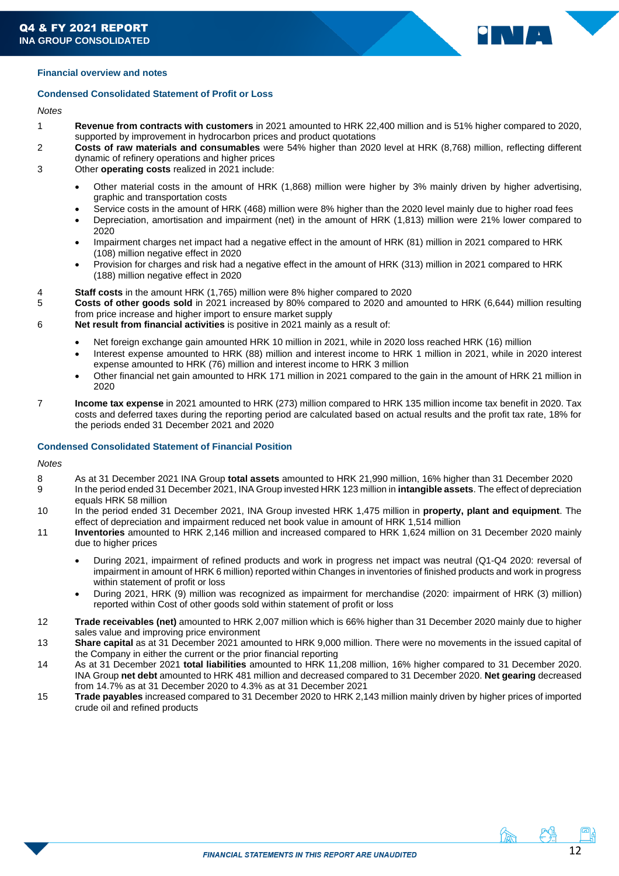

# <span id="page-11-0"></span>**Financial overview and notes**

## **Condensed Consolidated Statement of Profit or Loss**

# *Notes*

- 1 **Revenue from contracts with customers** in 2021 amounted to HRK 22,400 million and is 51% higher compared to 2020, supported by improvement in hydrocarbon prices and product quotations
- 2 **Costs of raw materials and consumables** were 54% higher than 2020 level at HRK (8,768) million, reflecting different dynamic of refinery operations and higher prices
- 3 Other **operating costs** realized in 2021 include:
	- Other material costs in the amount of HRK (1,868) million were higher by 3% mainly driven by higher advertising, graphic and transportation costs
	- Service costs in the amount of HRK (468) million were 8% higher than the 2020 level mainly due to higher road fees
	- Depreciation, amortisation and impairment (net) in the amount of HRK (1,813) million were 21% lower compared to 2020
	- Impairment charges net impact had a negative effect in the amount of HRK (81) million in 2021 compared to HRK (108) million negative effect in 2020
	- Provision for charges and risk had a negative effect in the amount of HRK (313) million in 2021 compared to HRK (188) million negative effect in 2020
- 
- 4 **Staff costs** in the amount HRK (1,765) million were 8% higher compared to 2020 5 **Costs of other goods sold** in 2021 increased by 80% compared to 2020 and amounted to HRK (6,644) million resulting from price increase and higher import to ensure market supply
- 6 **Net result from financial activities** is positive in 2021 mainly as a result of:
	- Net foreign exchange gain amounted HRK 10 million in 2021, while in 2020 loss reached HRK (16) million
	- Interest expense amounted to HRK (88) million and interest income to HRK 1 million in 2021, while in 2020 interest expense amounted to HRK (76) million and interest income to HRK 3 million
	- Other financial net gain amounted to HRK 171 million in 2021 compared to the gain in the amount of HRK 21 million in 2020
- 7 **Income tax expense** in 2021 amounted to HRK (273) million compared to HRK 135 million income tax benefit in 2020. Tax costs and deferred taxes during the reporting period are calculated based on actual results and the profit tax rate, 18% for the periods ended 31 December 2021 and 2020

# **Condensed Consolidated Statement of Financial Position**

## *Notes*

- 8 As at 31 December 2021 INA Group **total assets** amounted to HRK 21,990 million, 16% higher than 31 December 2020
- 9 In the period ended 31 December 2021, INA Group invested HRK 123 million in **intangible assets**. The effect of depreciation equals HRK 58 million
- 10 In the period ended 31 December 2021, INA Group invested HRK 1,475 million in **property, plant and equipment**. The effect of depreciation and impairment reduced net book value in amount of HRK 1,514 million
- 11 **Inventories** amounted to HRK 2,146 million and increased compared to HRK 1,624 million on 31 December 2020 mainly due to higher prices
	- During 2021, impairment of refined products and work in progress net impact was neutral (Q1-Q4 2020: reversal of impairment in amount of HRK 6 million) reported within Changes in inventories of finished products and work in progress within statement of profit or loss
	- During 2021, HRK (9) million was recognized as impairment for merchandise (2020: impairment of HRK (3) million) reported within Cost of other goods sold within statement of profit or loss
- 12 **Trade receivables (net)** amounted to HRK 2,007 million which is 66% higher than 31 December 2020 mainly due to higher sales value and improving price environment
- 13 **Share capital** as at 31 December 2021 amounted to HRK 9,000 million. There were no movements in the issued capital of the Company in either the current or the prior financial reporting
- 14 As at 31 December 2021 **total liabilities** amounted to HRK 11,208 million, 16% higher compared to 31 December 2020. INA Group **net debt** amounted to HRK 481 million and decreased compared to 31 December 2020. **Net gearing** decreased from 14.7% as at 31 December 2020 to 4.3% as at 31 December 2021
- 15 **Trade payables** increased compared to 31 December 2020 to HRK 2,143 million mainly driven by higher prices of imported crude oil and refined products

んちょう にゅうしゃ かんじょう かいじょう かいしょう かいしょう かいしゃ かいしゃ かいしゃ かいしゃ かいしゃ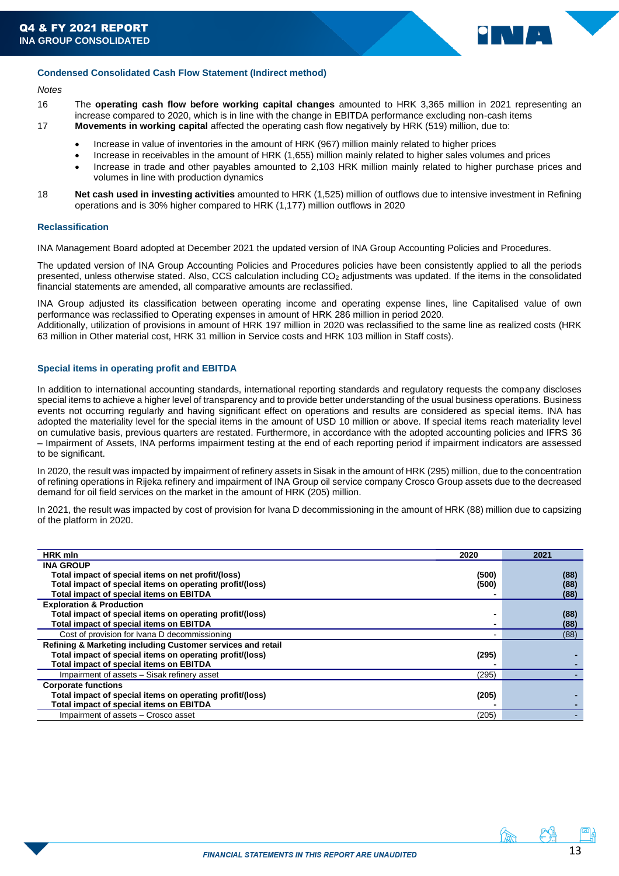

#### **Condensed Consolidated Cash Flow Statement (Indirect method)**

## *Notes*

- 16 The **operating cash flow before working capital changes** amounted to HRK 3,365 million in 2021 representing an increase compared to 2020, which is in line with the change in EBITDA performance excluding non-cash items 17 **Movements in working capital** affected the operating cash flow negatively by HRK (519) million, due to:
	- - Increase in value of inventories in the amount of HRK (967) million mainly related to higher prices
		- Increase in receivables in the amount of HRK (1,655) million mainly related to higher sales volumes and prices • Increase in trade and other payables amounted to 2,103 HRK million mainly related to higher purchase prices and volumes in line with production dynamics
- 18 **Net cash used in investing activities** amounted to HRK (1,525) million of outflows due to intensive investment in Refining operations and is 30% higher compared to HRK (1,177) million outflows in 2020

## **Reclassification**

INA Management Board adopted at December 2021 the updated version of INA Group Accounting Policies and Procedures.

The updated version of INA Group Accounting Policies and Procedures policies have been consistently applied to all the periods presented, unless otherwise stated. Also, CCS calculation including CO<sup>2</sup> adjustments was updated. If the items in the consolidated financial statements are amended, all comparative amounts are reclassified.

INA Group adjusted its classification between operating income and operating expense lines, line Capitalised value of own performance was reclassified to Operating expenses in amount of HRK 286 million in period 2020.

Additionally, utilization of provisions in amount of HRK 197 million in 2020 was reclassified to the same line as realized costs (HRK 63 million in Other material cost, HRK 31 million in Service costs and HRK 103 million in Staff costs).

## <span id="page-12-0"></span>**Special items in operating profit and EBITDA**

In addition to international accounting standards, international reporting standards and regulatory requests the company discloses special items to achieve a higher level of transparency and to provide better understanding of the usual business operations. Business events not occurring regularly and having significant effect on operations and results are considered as special items. INA has adopted the materiality level for the special items in the amount of USD 10 million or above. If special items reach materiality level on cumulative basis, previous quarters are restated. Furthermore, in accordance with the adopted accounting policies and IFRS 36 – Impairment of Assets, INA performs impairment testing at the end of each reporting period if impairment indicators are assessed to be significant.

In 2020, the result was impacted by impairment of refinery assets in Sisak in the amount of HRK (295) million, due to the concentration of refining operations in Rijeka refinery and impairment of INA Group oil service company Crosco Group assets due to the decreased demand for oil field services on the market in the amount of HRK (205) million.

In 2021, the result was impacted by cost of provision for Ivana D decommissioning in the amount of HRK (88) million due to capsizing of the platform in 2020.

| <b>HRK</b> mln                                              | 2020  | 2021 |
|-------------------------------------------------------------|-------|------|
| <b>INA GROUP</b>                                            |       |      |
| Total impact of special items on net profit/(loss)          | (500) | (88) |
| Total impact of special items on operating profit/(loss)    | (500) | (88) |
| Total impact of special items on EBITDA                     |       | (88) |
| <b>Exploration &amp; Production</b>                         |       |      |
| Total impact of special items on operating profit/(loss)    |       | (88) |
| Total impact of special items on EBITDA                     |       | (88) |
| Cost of provision for Ivana D decommissioning               |       | (88) |
| Refining & Marketing including Customer services and retail |       |      |
| Total impact of special items on operating profit/(loss)    | (295) |      |
| <b>Total impact of special items on EBITDA</b>              |       |      |
| Impairment of assets - Sisak refinery asset                 | (295) |      |
| <b>Corporate functions</b>                                  |       |      |
| Total impact of special items on operating profit/(loss)    | (205) |      |
| Total impact of special items on EBITDA                     |       |      |
| Impairment of assets - Crosco asset                         | (205) |      |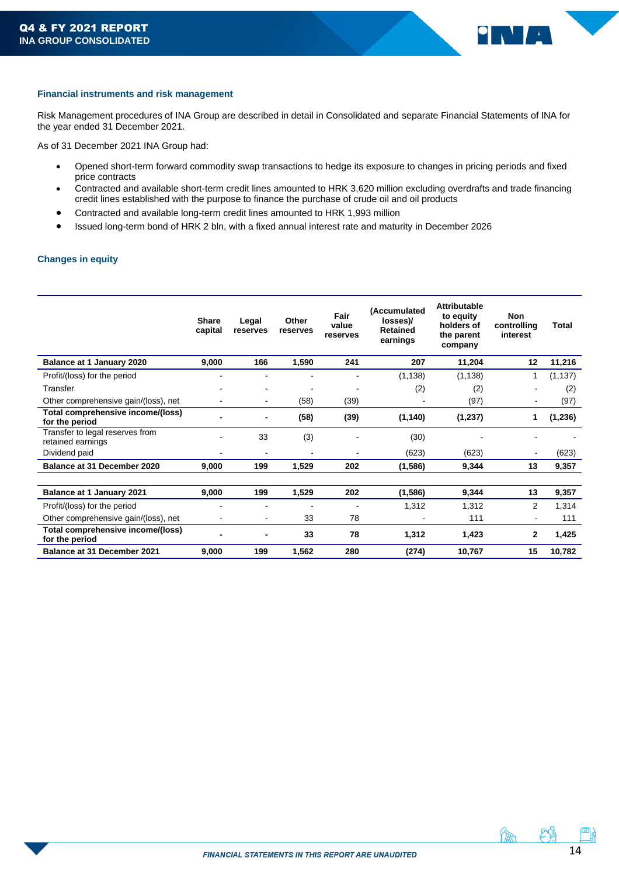

## <span id="page-13-0"></span>**Financial instruments and risk management**

<span id="page-13-1"></span>Risk Management procedures of INA Group are described in detail in Consolidated and separate Financial Statements of INA for the year ended 31 December 2021.

As of 31 December 2021 INA Group had:

- Opened short-term forward commodity swap transactions to hedge its exposure to changes in pricing periods and fixed price contracts
- Contracted and available short-term credit lines amounted to HRK 3,620 million excluding overdrafts and trade financing credit lines established with the purpose to finance the purchase of crude oil and oil products
- Contracted and available long-term credit lines amounted to HRK 1,993 million
- Issued long-term bond of HRK 2 bln, with a fixed annual interest rate and maturity in December 2026

## **Changes in equity**

<span id="page-13-2"></span>

|                                                      | <b>Share</b><br>capital | Legal<br>reserves | Other<br>reserves | Fair<br>value<br>reserves | (Accumulated<br>losses)/<br><b>Retained</b><br>earnings | <b>Attributable</b><br>to equity<br>holders of<br>the parent<br>company | <b>Non</b><br>controlling<br>interest | Total    |
|------------------------------------------------------|-------------------------|-------------------|-------------------|---------------------------|---------------------------------------------------------|-------------------------------------------------------------------------|---------------------------------------|----------|
| Balance at 1 January 2020                            | 9,000                   | 166               | 1,590             | 241                       | 207                                                     | 11,204                                                                  | 12                                    | 11,216   |
| Profit/(loss) for the period                         |                         | ٠                 |                   |                           | (1, 138)                                                | (1, 138)                                                                | 1                                     | (1, 137) |
| Transfer                                             |                         | ٠                 |                   |                           | (2)                                                     | (2)                                                                     |                                       | (2)      |
| Other comprehensive gain/(loss), net                 |                         | $\blacksquare$    | (58)              | (39)                      |                                                         | (97)                                                                    | $\blacksquare$                        | (97)     |
| Total comprehensive income/(loss)<br>for the period  |                         | -                 | (58)              | (39)                      | (1, 140)                                                | (1, 237)                                                                | 1                                     | (1, 236) |
| Transfer to legal reserves from<br>retained earnings |                         | 33                | (3)               |                           | (30)                                                    |                                                                         |                                       |          |
| Dividend paid                                        |                         | $\blacksquare$    |                   |                           | (623)                                                   | (623)                                                                   | $\blacksquare$                        | (623)    |
| Balance at 31 December 2020                          | 9,000                   | 199               | 1,529             | 202                       | (1,586)                                                 | 9,344                                                                   | 13                                    | 9,357    |
|                                                      |                         |                   |                   |                           |                                                         |                                                                         |                                       |          |
| <b>Balance at 1 January 2021</b>                     | 9,000                   | 199               | 1,529             | 202                       | (1,586)                                                 | 9,344                                                                   | 13                                    | 9,357    |
| Profit/(loss) for the period                         |                         |                   |                   |                           | 1,312                                                   | 1,312                                                                   | $\overline{2}$                        | 1,314    |
| Other comprehensive gain/(loss), net                 |                         | $\blacksquare$    | 33                | 78                        |                                                         | 111                                                                     |                                       | 111      |
| Total comprehensive income/(loss)<br>for the period  |                         | -                 | 33                | 78                        | 1,312                                                   | 1,423                                                                   | $\mathbf{2}$                          | 1,425    |
| Balance at 31 December 2021                          | 9,000                   | 199               | 1,562             | 280                       | (274)                                                   | 10,767                                                                  | 15                                    | 10,782   |

魚 斗